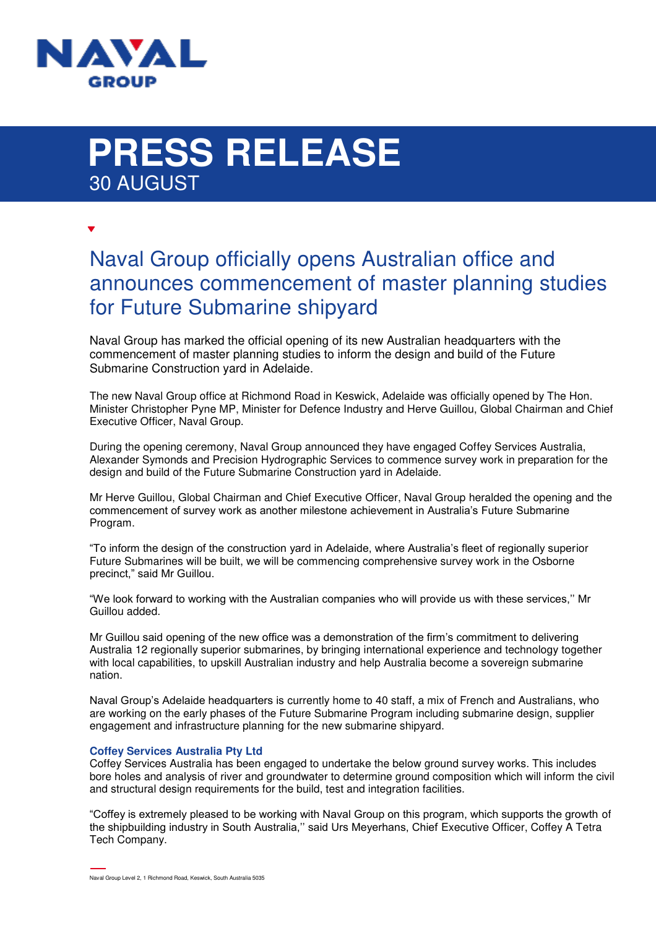

# **PRESS RELEASE**  30 AUGUST

## Naval Group officially opens Australian office and announces commencement of master planning studies for Future Submarine shipyard

Naval Group has marked the official opening of its new Australian headquarters with the commencement of master planning studies to inform the design and build of the Future Submarine Construction yard in Adelaide.

The new Naval Group office at Richmond Road in Keswick, Adelaide was officially opened by The Hon. Minister Christopher Pyne MP, Minister for Defence Industry and Herve Guillou, Global Chairman and Chief Executive Officer, Naval Group.

During the opening ceremony, Naval Group announced they have engaged Coffey Services Australia, Alexander Symonds and Precision Hydrographic Services to commence survey work in preparation for the design and build of the Future Submarine Construction yard in Adelaide.

Mr Herve Guillou, Global Chairman and Chief Executive Officer, Naval Group heralded the opening and the commencement of survey work as another milestone achievement in Australia's Future Submarine Program.

"To inform the design of the construction yard in Adelaide, where Australia's fleet of regionally superior Future Submarines will be built, we will be commencing comprehensive survey work in the Osborne precinct," said Mr Guillou.

"We look forward to working with the Australian companies who will provide us with these services,'' Mr Guillou added.

Mr Guillou said opening of the new office was a demonstration of the firm's commitment to delivering Australia 12 regionally superior submarines, by bringing international experience and technology together with local capabilities, to upskill Australian industry and help Australia become a sovereign submarine nation.

Naval Group's Adelaide headquarters is currently home to 40 staff, a mix of French and Australians, who are working on the early phases of the Future Submarine Program including submarine design, supplier engagement and infrastructure planning for the new submarine shipyard.

### **Coffey Services Australia Pty Ltd**

Coffey Services Australia has been engaged to undertake the below ground survey works. This includes bore holes and analysis of river and groundwater to determine ground composition which will inform the civil and structural design requirements for the build, test and integration facilities.

"Coffey is extremely pleased to be working with Naval Group on this program, which supports the growth of the shipbuilding industry in South Australia,'' said Urs Meyerhans, Chief Executive Officer, Coffey A Tetra Tech Company.